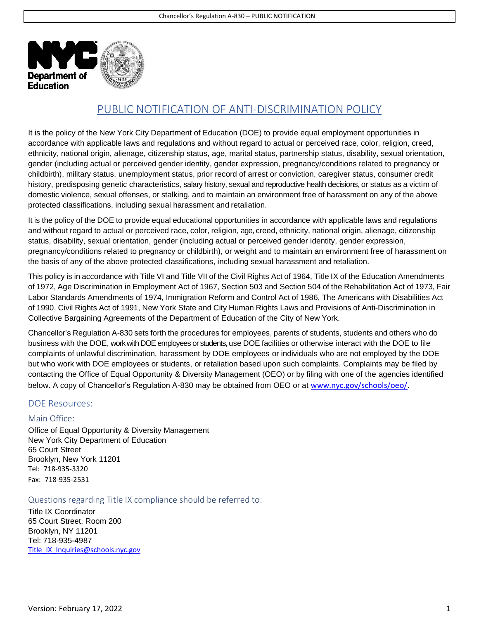

## PUBLIC NOTIFICATION OF ANTI-DISCRIMINATION POLICY

It is the policy of the New York City Department of Education (DOE) to provide equal employment opportunities in accordance with applicable laws and regulations and without regard to actual or perceived race, color, religion, creed, ethnicity, national origin, alienage, citizenship status, age, marital status, partnership status, disability, sexual orientation, gender (including actual or perceived gender identity, gender expression, pregnancy/conditions related to pregnancy or childbirth), military status, unemployment status, prior record of arrest or conviction, caregiver status, consumer credit history, predisposing genetic characteristics, salary history, sexual and reproductive health decisions, or status as a victim of domestic violence, sexual offenses, or stalking, and to maintain an environment free of harassment on any of the above protected classifications, including sexual harassment and retaliation.

It is the policy of the DOE to provide equal educational opportunities in accordance with applicable laws and regulations and without regard to actual or perceived race, color, religion, age, creed, ethnicity, national origin, alienage, citizenship status, disability, sexual orientation, gender (including actual or perceived gender identity, gender expression, pregnancy/conditions related to pregnancy or childbirth), or weight and to maintain an environment free of harassment on the basis of any of the above protected classifications, including sexual harassment and retaliation.

This policy is in accordance with Title VI and Title VII of the Civil Rights Act of 1964, Title IX of the Education Amendments of 1972, Age Discrimination in Employment Act of 1967, Section 503 and Section 504 of the Rehabilitation Act of 1973, Fair Labor Standards Amendments of 1974, Immigration Reform and Control Act of 1986, The Americans with Disabilities Act of 1990, Civil Rights Act of 1991, New York State and City Human Rights Laws and Provisions of Anti-Discrimination in Collective Bargaining Agreements of the Department of Education of the City of New York.

Chancellor's Regulation A-830 sets forth the procedures for employees, parents of students, students and others who do business with the DOE, work with DOE employeesor students, use DOE facilities or otherwise interact with the DOE to file complaints of unlawful discrimination, harassment by DOE employees or individuals who are not employed by the DOE but who work with DOE employees or students, or retaliation based upon such complaints. Complaints may be filed by contacting the Office of Equal Opportunity & Diversity Management (OEO) or by filing with one of the agencies identified below. A copy of Chancellor's Regulation A-830 may be obtained from OEO or at [www.nyc.gov/schools/oeo/.](http://www.nyc.gov/schools/oeo/)

## DOE Resources:

## Main Office:

Office of Equal Opportunity & Diversity Management New York City Department of Education 65 Court Street Brooklyn, New York 11201 Tel: 718-935-3320 Fax: 718-935-2531

Questions regarding Title IX compliance should be referred to:

Title IX Coordinator 65 Court Street, Room 200 Brooklyn, NY 11201 Tel: 718-935-4987 [Title\\_IX\\_Inquiries@schools.nyc.gov](mailto:Title_IX_Inquiries@schools.nyc.gov)